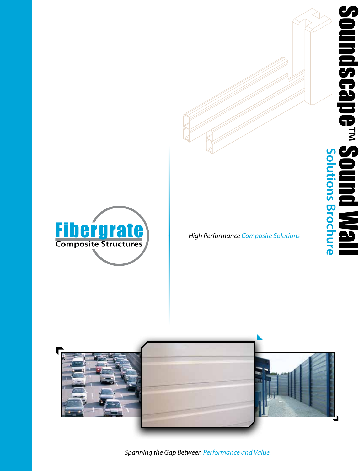



*High Performance Composite Solutions*



*Spanning the Gap Between Performance and Value.*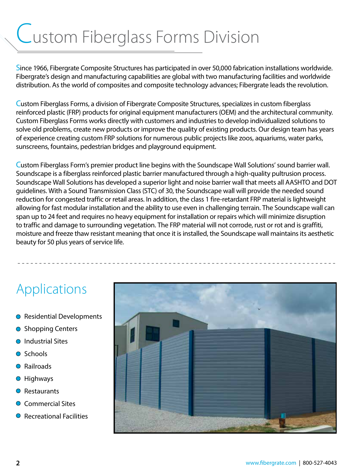# Custom Fiberglass Forms Division

Since 1966, Fibergrate Composite Structures has participated in over 50,000 fabrication installations worldwide. Fibergrate's design and manufacturing capabilities are global with two manufacturing facilities and worldwide distribution. As the world of composites and composite technology advances; Fibergrate leads the revolution.

Custom Fiberglass Forms, a division of Fibergrate Composite Structures, specializes in custom fiberglass reinforced plastic (FRP) products for original equipment manufacturers (OEM) and the architectural community. Custom Fiberglass Forms works directly with customers and industries to develop individualized solutions to solve old problems, create new products or improve the quality of existing products. Our design team has years of experience creating custom FRP solutions for numerous public projects like zoos, aquariums, water parks, sunscreens, fountains, pedestrian bridges and playground equipment.

Custom Fiberglass Form's premier product line begins with the Soundscape Wall Solutions' sound barrier wall. Soundscape is a fiberglass reinforced plastic barrier manufactured through a high-quality pultrusion process. Soundscape Wall Solutions has developed a superior light and noise barrier wall that meets all AASHTO and DOT guidelines. With a Sound Transmission Class (STC) of 30, the Soundscape wall will provide the needed sound reduction for congested traffic or retail areas. In addition, the class 1 fire-retardant FRP material is lightweight allowing for fast modular installation and the ability to use even in challenging terrain. The Soundscape wall can span up to 24 feet and requires no heavy equipment for installation or repairs which will minimize disruption to traffic and damage to surrounding vegetation. The FRP material will not corrode, rust or rot and is graffiti, moisture and freeze thaw resistant meaning that once it is installed, the Soundscape wall maintains its aesthetic beauty for 50 plus years of service life.

- - - - - - - - - - - - - - - - - - - - - - - - - - - - - - - - - - - - - - - - - - - - - - - - - - - - - - - - - - - - - - - - - - - - - - - - - -

### Applications

- Residential Developments
- **Shopping Centers**
- Industrial Sites  $\bigcirc$
- Schools
- Railroads
- Highways  $\bigcirc$
- **Restaurants**  $\bigcirc$
- Commercial Sites  $\bigcirc$
- **Recreational Facilities**

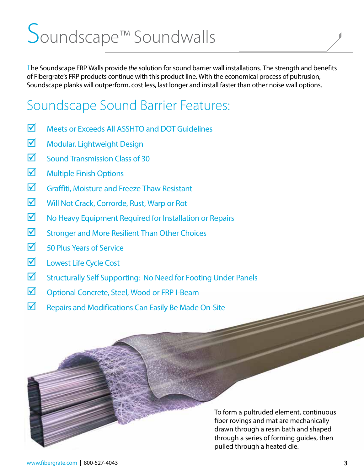# Soundscape™ Soundwalls

The Soundscape FRP Walls provide *the* solution for sound barrier wall installations. The strength and benefits of Fibergrate's FRP products continue with this product line. With the economical process of pultrusion, Soundscape planks will outperform, cost less, last longer and install faster than other noise wall options.

### Soundscape Sound Barrier Features:

- $\triangledown$  Meets or Exceeds All ASSHTO and DOT Guidelines
- $\blacksquare$  Modular, Lightweight Design
- $\triangledown$  Sound Transmission Class of 30
- $\blacksquare$  Multiple Finish Options
- $\triangledown$  Graffiti, Moisture and Freeze Thaw Resistant
- Will Not Crack, Corrorde, Rust, Warp or Rot
- $\blacksquare$  No Heavy Equipment Required for Installation or Repairs
- $\triangledown$  Stronger and More Resilient Than Other Choices
- $\sqrt{ }$  50 Plus Years of Service
- **M** Lowest Life Cycle Cost
- $\triangledown$  Structurally Self Supporting: No Need for Footing Under Panels
- $\boxtimes$  Optional Concrete, Steel, Wood or FRP I-Beam
- $\nabla$  Repairs and Modifications Can Easily Be Made On-Site

To form a pultruded element, continuous fiber rovings and mat are mechanically drawn through a resin bath and shaped through a series of forming guides, then pulled through a heated die.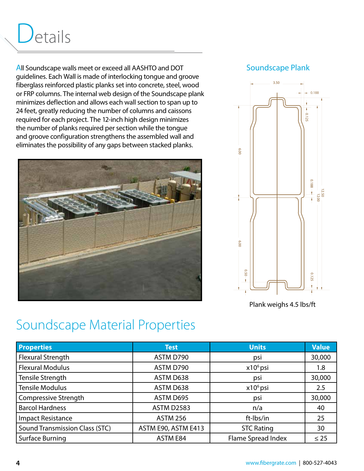# Details

All Soundscape walls meet or exceed all AASHTO and DOT guidelines. Each Wall is made of interlocking tongue and groove fiberglass reinforced plastic planks set into concrete, steel, wood or FRP columns. The internal web design of the Soundscape plank minimizes deflection and allows each wall section to span up to 24 feet, greatly reducing the number of columns and caissons required for each project. The 12-inch high design minimizes the number of planks required per section while the tongue and groove configuration strengthens the assembled wall and eliminates the possibility of any gaps between stacked planks.



#### Soundscape Plank



Plank weighs 4.5 lbs/ft

### Soundscape Material Properties

|                                                |                                      | 6.00<br>6.00                   | 0.188        |
|------------------------------------------------|--------------------------------------|--------------------------------|--------------|
| <b>Soundscape Material Properties</b>          |                                      | 050<br>Plank weighs 4.5 lbs/ft | 0.125        |
|                                                |                                      |                                |              |
| <b>Properties</b>                              | <b>Test</b>                          | <b>Units</b>                   | <b>Value</b> |
| <b>Flexural Strength</b>                       | ASTM D790                            | psi                            | 30,000       |
| <b>Flexural Modulus</b>                        | ASTM D790                            | x10 <sup>6</sup> psi           | 1.8          |
| <b>Tensile Strength</b>                        | ASTM D638                            | psi                            | 30,000       |
| <b>Tensile Modulus</b>                         | ASTM D638                            | x10 <sup>6</sup> psi           | 2.5          |
| Compressive Strength<br><b>Barcol Hardness</b> | ASTM D695                            | psi<br>n/a                     | 30,000<br>40 |
| <b>Impact Resistance</b>                       | <b>ASTM D2583</b><br><b>ASTM 256</b> | ft-Ibs/in                      | 25           |
| <b>Sound Transmission Class (STC)</b>          | ASTM E90, ASTM E413                  | <b>STC Rating</b>              | 30           |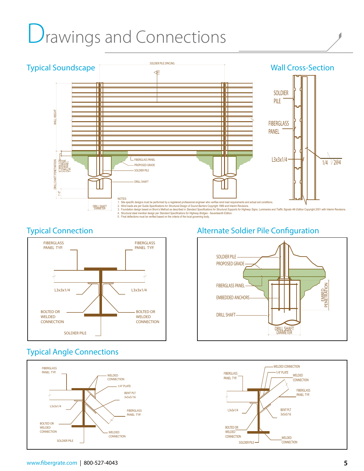# **Drawings and Connections**





#### Typical Angle Connections



#### Typical Connection Alternate Soldier Pile Configuration

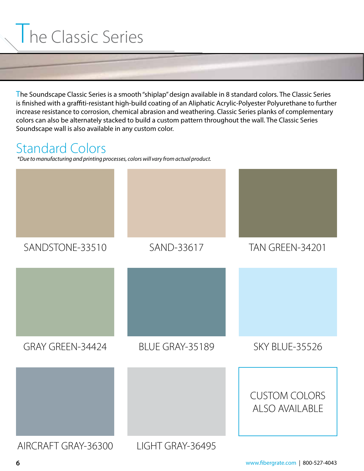# **The Classic Series**

The Soundscape Classic Series is a smooth "shiplap" design available in 8 standard colors. The Classic Series is finished with a graffiti-resistant high-build coating of an Aliphatic Acrylic-Polyester Polyurethane to further increase resistance to corrosion, chemical abrasion and weathering. Classic Series planks of complementary colors can also be alternately stacked to build a custom pattern throughout the wall. The Classic Series Soundscape wall is also available in any custom color.

### Standard Colors

*\*Due to manufacturing and printing processes, colors will vary from actual product.* 

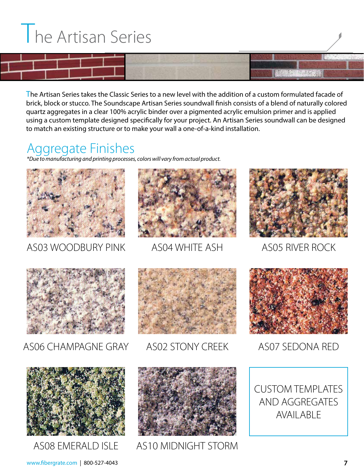# **The Artisan Series**

#### The Artisan Series takes the Classic Series to a new level with the addition of a custom formulated facade of brick, block or stucco. The Soundscape Artisan Series soundwall finish consists of a blend of naturally colored quartz aggregates in a clear 100% acrylic binder over a pigmented acrylic emulsion primer and is applied using a custom template designed specifically for your project. An Artisan Series soundwall can be designed to match an existing structure or to make your wall a one-of-a-kind installation.

### Aggregate Finishes

*\*Due to manufacturing and printing processes, colors will vary from actual product.* 



AS03 WOODBURY PINK



AS04 WHITE ASH



AS05 RIVER ROCK



AS06 CHAMPAGNE GRAY



AS02 STONY CREEK



AS07 SEDONA RED



AS08 EMERALD ISLE





AS10 MIDNIGHT STORM